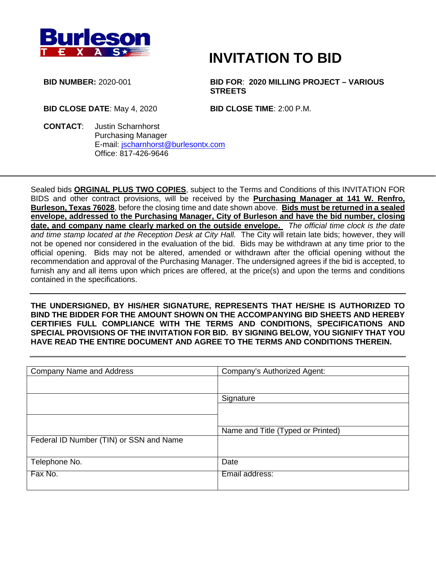

# **INVITATION TO BID**

**BID NUMBER:** 2020-001 **BID FOR**: **2020 MILLING PROJECT – VARIOUS STREETS**

**BID CLOSE DATE**: May 4, 2020 **BID CLOSE TIME**: 2:00 P.M.

**CONTACT**: Justin Scharnhorst Purchasing Manager E-mail: [jscharnhorst@burlesontx.com](mailto:jscharnhorst@burlesontx.com) Office: 817-426-9646

Sealed bids **ORGINAL PLUS TWO COPIES**, subject to the Terms and Conditions of this INVITATION FOR BIDS and other contract provisions, will be received by the **Purchasing Manager at 141 W. Renfro, Burleson, Texas 76028**, before the closing time and date shown above. **Bids must be returned in a sealed envelope, addressed to the Purchasing Manager, City of Burleson and have the bid number, closing date, and company name clearly marked on the outside envelope.** *The official time clock is the date and time stamp located at the Reception Desk at City Hall.* The City will retain late bids; however, they will not be opened nor considered in the evaluation of the bid. Bids may be withdrawn at any time prior to the official opening. Bids may not be altered, amended or withdrawn after the official opening without the recommendation and approval of the Purchasing Manager. The undersigned agrees if the bid is accepted, to furnish any and all items upon which prices are offered, at the price(s) and upon the terms and conditions contained in the specifications.

**THE UNDERSIGNED, BY HIS/HER SIGNATURE, REPRESENTS THAT HE/SHE IS AUTHORIZED TO BIND THE BIDDER FOR THE AMOUNT SHOWN ON THE ACCOMPANYING BID SHEETS AND HEREBY CERTIFIES FULL COMPLIANCE WITH THE TERMS AND CONDITIONS, SPECIFICATIONS AND SPECIAL PROVISIONS OF THE INVITATION FOR BID. BY SIGNING BELOW, YOU SIGNIFY THAT YOU HAVE READ THE ENTIRE DOCUMENT AND AGREE TO THE TERMS AND CONDITIONS THEREIN.**

| <b>Company Name and Address</b>         | Company's Authorized Agent:       |
|-----------------------------------------|-----------------------------------|
|                                         |                                   |
|                                         |                                   |
|                                         | Signature                         |
|                                         |                                   |
|                                         |                                   |
|                                         |                                   |
|                                         | Name and Title (Typed or Printed) |
| Federal ID Number (TIN) or SSN and Name |                                   |
|                                         |                                   |
|                                         |                                   |
| Telephone No.                           | Date                              |
|                                         |                                   |
| Fax No.                                 | Email address:                    |
|                                         |                                   |
|                                         |                                   |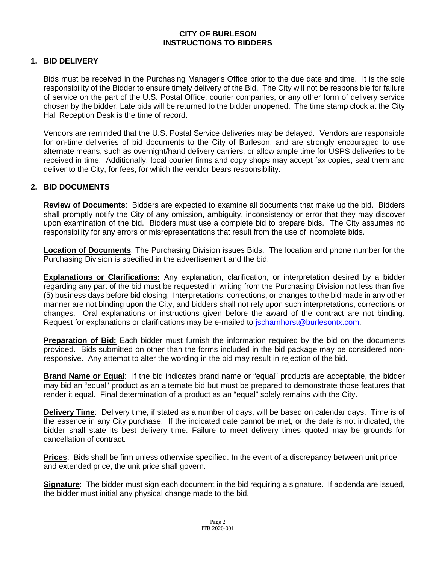#### **CITY OF BURLESON INSTRUCTIONS TO BIDDERS**

#### **1. BID DELIVERY**

Bids must be received in the Purchasing Manager's Office prior to the due date and time. It is the sole responsibility of the Bidder to ensure timely delivery of the Bid. The City will not be responsible for failure of service on the part of the U.S. Postal Office, courier companies, or any other form of delivery service chosen by the bidder. Late bids will be returned to the bidder unopened. The time stamp clock at the City Hall Reception Desk is the time of record.

Vendors are reminded that the U.S. Postal Service deliveries may be delayed. Vendors are responsible for on-time deliveries of bid documents to the City of Burleson, and are strongly encouraged to use alternate means, such as overnight/hand delivery carriers, or allow ample time for USPS deliveries to be received in time. Additionally, local courier firms and copy shops may accept fax copies, seal them and deliver to the City, for fees, for which the vendor bears responsibility.

#### **2. BID DOCUMENTS**

**Review of Documents**: Bidders are expected to examine all documents that make up the bid. Bidders shall promptly notify the City of any omission, ambiguity, inconsistency or error that they may discover upon examination of the bid. Bidders must use a complete bid to prepare bids. The City assumes no responsibility for any errors or misrepresentations that result from the use of incomplete bids.

**Location of Documents**: The Purchasing Division issues Bids. The location and phone number for the Purchasing Division is specified in the advertisement and the bid.

**Explanations or Clarifications:** Any explanation, clarification, or interpretation desired by a bidder regarding any part of the bid must be requested in writing from the Purchasing Division not less than five (5) business days before bid closing. Interpretations, corrections, or changes to the bid made in any other manner are not binding upon the City, and bidders shall not rely upon such interpretations, corrections or changes. Oral explanations or instructions given before the award of the contract are not binding. Request for explanations or clarifications may be e-mailed to [jscharnhorst@burlesontx.com.](mailto:jscharnhorst@burlesontx.com)

**Preparation of Bid:** Each bidder must furnish the information required by the bid on the documents provided. Bids submitted on other than the forms included in the bid package may be considered nonresponsive. Any attempt to alter the wording in the bid may result in rejection of the bid.

**Brand Name or Equal**: If the bid indicates brand name or "equal" products are acceptable, the bidder may bid an "equal" product as an alternate bid but must be prepared to demonstrate those features that render it equal. Final determination of a product as an "equal" solely remains with the City.

**Delivery Time**: Delivery time, if stated as a number of days, will be based on calendar days. Time is of the essence in any City purchase. If the indicated date cannot be met, or the date is not indicated, the bidder shall state its best delivery time. Failure to meet delivery times quoted may be grounds for cancellation of contract.

**Prices**: Bids shall be firm unless otherwise specified. In the event of a discrepancy between unit price and extended price, the unit price shall govern.

**Signature**: The bidder must sign each document in the bid requiring a signature. If addenda are issued, the bidder must initial any physical change made to the bid.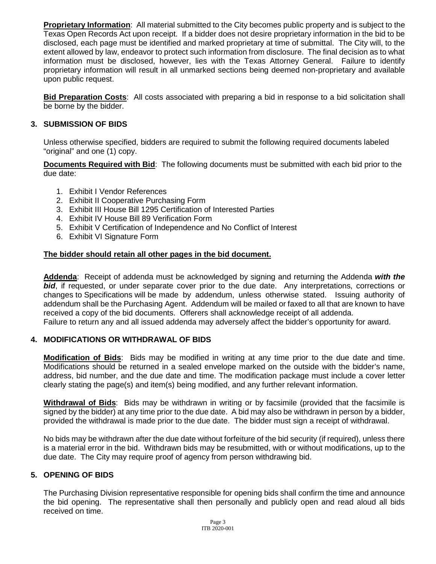**Proprietary Information**: All material submitted to the City becomes public property and is subject to the Texas Open Records Act upon receipt. If a bidder does not desire proprietary information in the bid to be disclosed, each page must be identified and marked proprietary at time of submittal. The City will, to the extent allowed by law, endeavor to protect such information from disclosure. The final decision as to what information must be disclosed, however, lies with the Texas Attorney General. Failure to identify proprietary information will result in all unmarked sections being deemed non-proprietary and available upon public request.

**Bid Preparation Costs**: All costs associated with preparing a bid in response to a bid solicitation shall be borne by the bidder.

#### **3. SUBMISSION OF BIDS**

Unless otherwise specified, bidders are required to submit the following required documents labeled "original" and one (1) copy.

**Documents Required with Bid**: The following documents must be submitted with each bid prior to the due date:

- 1. Exhibit I Vendor References
- 2. Exhibit II Cooperative Purchasing Form
- 3. Exhibit III House Bill 1295 Certification of Interested Parties
- 4. Exhibit IV House Bill 89 Verification Form
- 5. Exhibit V Certification of Independence and No Conflict of Interest
- 6. Exhibit VI Signature Form

#### **The bidder should retain all other pages in the bid document.**

**Addenda**: Receipt of addenda must be acknowledged by signing and returning the Addenda *with the*  **bid**, if requested, or under separate cover prior to the due date. Any interpretations, corrections or changes to Specifications will be made by addendum, unless otherwise stated. Issuing authority of addendum shall be the Purchasing Agent. Addendum will be mailed or faxed to all that are known to have received a copy of the bid documents. Offerers shall acknowledge receipt of all addenda. Failure to return any and all issued addenda may adversely affect the bidder's opportunity for award.

#### **4. MODIFICATIONS OR WITHDRAWAL OF BIDS**

**Modification of Bids**: Bids may be modified in writing at any time prior to the due date and time. Modifications should be returned in a sealed envelope marked on the outside with the bidder's name, address, bid number, and the due date and time. The modification package must include a cover letter clearly stating the page(s) and item(s) being modified, and any further relevant information.

**Withdrawal of Bids**: Bids may be withdrawn in writing or by facsimile (provided that the facsimile is signed by the bidder) at any time prior to the due date. A bid may also be withdrawn in person by a bidder, provided the withdrawal is made prior to the due date. The bidder must sign a receipt of withdrawal.

No bids may be withdrawn after the due date without forfeiture of the bid security (if required), unless there is a material error in the bid. Withdrawn bids may be resubmitted, with or without modifications, up to the due date. The City may require proof of agency from person withdrawing bid.

#### **5. OPENING OF BIDS**

The Purchasing Division representative responsible for opening bids shall confirm the time and announce the bid opening. The representative shall then personally and publicly open and read aloud all bids received on time.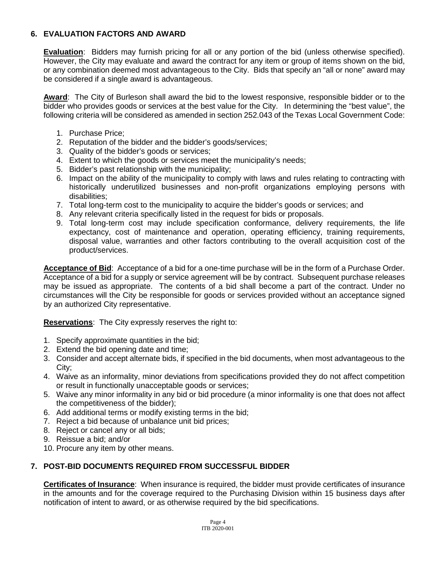#### **6. EVALUATION FACTORS AND AWARD**

**Evaluation**: Bidders may furnish pricing for all or any portion of the bid (unless otherwise specified). However, the City may evaluate and award the contract for any item or group of items shown on the bid, or any combination deemed most advantageous to the City. Bids that specify an "all or none" award may be considered if a single award is advantageous.

Award: The City of Burleson shall award the bid to the lowest responsive, responsible bidder or to the bidder who provides goods or services at the best value for the City. In determining the "best value", the following criteria will be considered as amended in section 252.043 of the Texas Local Government Code:

- 1. Purchase Price;
- 2. Reputation of the bidder and the bidder's goods/services;
- 3. Quality of the bidder's goods or services;
- 4. Extent to which the goods or services meet the municipality's needs;
- 5. Bidder's past relationship with the municipality;
- 6. Impact on the ability of the municipality to comply with laws and rules relating to contracting with historically underutilized businesses and non-profit organizations employing persons with disabilities;
- 7. Total long-term cost to the municipality to acquire the bidder's goods or services; and
- 8. Any relevant criteria specifically listed in the request for bids or proposals.
- 9. Total long-term cost may include specification conformance, delivery requirements, the life expectancy, cost of maintenance and operation, operating efficiency, training requirements, disposal value, warranties and other factors contributing to the overall acquisition cost of the product/services.

**Acceptance of Bid**: Acceptance of a bid for a one-time purchase will be in the form of a Purchase Order. Acceptance of a bid for a supply or service agreement will be by contract. Subsequent purchase releases may be issued as appropriate. The contents of a bid shall become a part of the contract. Under no circumstances will the City be responsible for goods or services provided without an acceptance signed by an authorized City representative.

**Reservations**: The City expressly reserves the right to:

- 1. Specify approximate quantities in the bid;
- 2. Extend the bid opening date and time;
- 3. Consider and accept alternate bids, if specified in the bid documents, when most advantageous to the City;
- 4. Waive as an informality, minor deviations from specifications provided they do not affect competition or result in functionally unacceptable goods or services;
- 5. Waive any minor informality in any bid or bid procedure (a minor informality is one that does not affect the competitiveness of the bidder);
- 6. Add additional terms or modify existing terms in the bid;
- 7. Reject a bid because of unbalance unit bid prices;
- 8. Reject or cancel any or all bids;
- 9. Reissue a bid; and/or
- 10. Procure any item by other means.

## **7. POST-BID DOCUMENTS REQUIRED FROM SUCCESSFUL BIDDER**

**Certificates of Insurance**: When insurance is required, the bidder must provide certificates of insurance in the amounts and for the coverage required to the Purchasing Division within 15 business days after notification of intent to award, or as otherwise required by the bid specifications.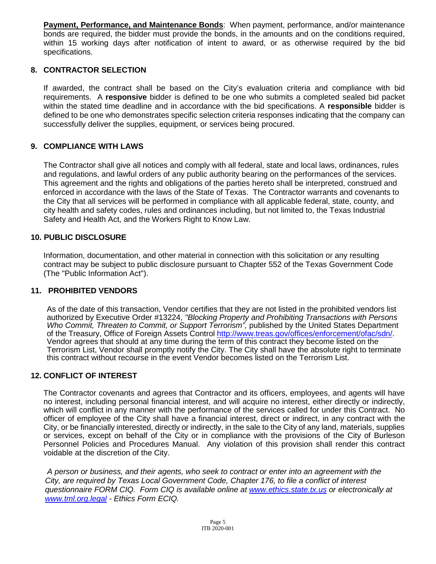**Payment, Performance, and Maintenance Bonds**: When payment, performance, and/or maintenance bonds are required, the bidder must provide the bonds, in the amounts and on the conditions required, within 15 working days after notification of intent to award, or as otherwise required by the bid specifications.

#### **8. CONTRACTOR SELECTION**

If awarded, the contract shall be based on the City's evaluation criteria and compliance with bid requirements. A **responsive** bidder is defined to be one who submits a completed sealed bid packet within the stated time deadline and in accordance with the bid specifications. A **responsible** bidder is defined to be one who demonstrates specific selection criteria responses indicating that the company can successfully deliver the supplies, equipment, or services being procured.

#### **9. COMPLIANCE WITH LAWS**

The Contractor shall give all notices and comply with all federal, state and local laws, ordinances, rules and regulations, and lawful orders of any public authority bearing on the performances of the services. This agreement and the rights and obligations of the parties hereto shall be interpreted, construed and enforced in accordance with the laws of the State of Texas. The Contractor warrants and covenants to the City that all services will be performed in compliance with all applicable federal, state, county, and city health and safety codes, rules and ordinances including, but not limited to, the Texas Industrial Safety and Health Act, and the Workers Right to Know Law.

#### **10. PUBLIC DISCLOSURE**

Information, documentation, and other material in connection with this solicitation or any resulting contract may be subject to public disclosure pursuant to Chapter 552 of the Texas Government Code (The "Public Information Act").

#### **11. PROHIBITED VENDORS**

As of the date of this transaction, Vendor certifies that they are not listed in the prohibited vendors list authorized by Executive Order #13224, *"Blocking Property and Prohibiting Transactions with Persons Who Commit, Threaten to Commit, or Support Terrorism",* published by the United States Department of the Treasury, Office of Foreign Assets Control [http://www.treas.gov/offices/enforcement/ofac/sdn/.](http://www.treas.gov/offices/enforcement/ofac/sdn/) Vendor agrees that should at any time during the term of this contract they become listed on the Terrorism List, Vendor shall promptly notify the City. The City shall have the absolute right to terminate this contract without recourse in the event Vendor becomes listed on the Terrorism List.

## **12. CONFLICT OF INTEREST**

The Contractor covenants and agrees that Contractor and its officers, employees, and agents will have no interest, including personal financial interest, and will acquire no interest, either directly or indirectly, which will conflict in any manner with the performance of the services called for under this Contract. No officer of employee of the City shall have a financial interest, direct or indirect, in any contract with the City, or be financially interested, directly or indirectly, in the sale to the City of any land, materials, supplies or services, except on behalf of the City or in compliance with the provisions of the City of Burleson Personnel Policies and Procedures Manual. Any violation of this provision shall render this contract voidable at the discretion of the City.

*A person or business, and their agents, who seek to contract or enter into an agreement with the City, are required by Texas Local Government Code, Chapter 176, to file a conflict of interest questionnaire FORM CIQ. Form CIQ is available online at [www.ethics.state.tx.us](http://www.ethics.state.tx.us/) or electronically at [www.tml.org.legal](http://www.tml.org.legal/) - Ethics Form ECIQ.*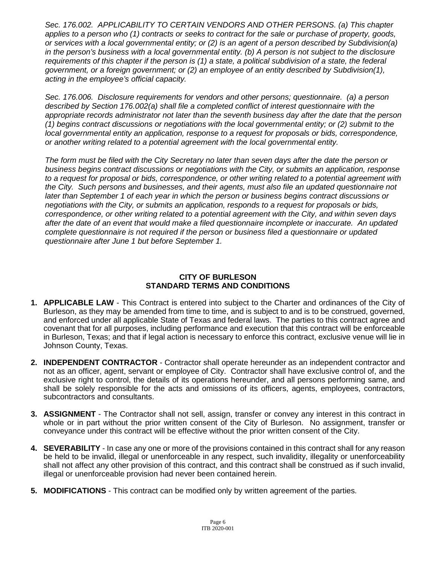*Sec. 176.002. APPLICABILITY TO CERTAIN VENDORS AND OTHER PERSONS. (a) This chapter applies to a person who (1) contracts or seeks to contract for the sale or purchase of property, goods, or services with a local governmental entity; or (2) is an agent of a person described by Subdivision(a) in the person's business with a local governmental entity. (b) A person is not subject to the disclosure requirements of this chapter if the person is (1) a state, a political subdivision of a state, the federal government, or a foreign government; or (2) an employee of an entity described by Subdivision(1), acting in the employee's official capacity.*

*Sec. 176.006. Disclosure requirements for vendors and other persons; questionnaire. (a) a person described by Section 176.002(a) shall file a completed conflict of interest questionnaire with the appropriate records administrator not later than the seventh business day after the date that the person (1) begins contract discussions or negotiations with the local governmental entity; or (2) submit to the local governmental entity an application, response to a request for proposals or bids, correspondence, or another writing related to a potential agreement with the local governmental entity.*

*The form must be filed with the City Secretary no later than seven days after the date the person or business begins contract discussions or negotiations with the City, or submits an application, response to a request for proposal or bids, correspondence, or other writing related to a potential agreement with the City. Such persons and businesses, and their agents, must also file an updated questionnaire not later than September 1 of each year in which the person or business begins contract discussions or negotiations with the City, or submits an application, responds to a request for proposals or bids, correspondence, or other writing related to a potential agreement with the City, and within seven days after the date of an event that would make a filed questionnaire incomplete or inaccurate. An updated complete questionnaire is not required if the person or business filed a questionnaire or updated questionnaire after June 1 but before September 1.*

#### **CITY OF BURLESON STANDARD TERMS AND CONDITIONS**

- **1. APPLICABLE LAW** This Contract is entered into subject to the Charter and ordinances of the City of Burleson, as they may be amended from time to time, and is subject to and is to be construed, governed, and enforced under all applicable State of Texas and federal laws. The parties to this contract agree and covenant that for all purposes, including performance and execution that this contract will be enforceable in Burleson, Texas; and that if legal action is necessary to enforce this contract, exclusive venue will lie in Johnson County, Texas.
- **2. INDEPENDENT CONTRACTOR** Contractor shall operate hereunder as an independent contractor and not as an officer, agent, servant or employee of City. Contractor shall have exclusive control of, and the exclusive right to control, the details of its operations hereunder, and all persons performing same, and shall be solely responsible for the acts and omissions of its officers, agents, employees, contractors, subcontractors and consultants.
- **3. ASSIGNMENT**  The Contractor shall not sell, assign, transfer or convey any interest in this contract in whole or in part without the prior written consent of the City of Burleson. No assignment, transfer or conveyance under this contract will be effective without the prior written consent of the City.
- **4. SEVERABILITY**  In case any one or more of the provisions contained in this contract shall for any reason be held to be invalid, illegal or unenforceable in any respect, such invalidity, illegality or unenforceability shall not affect any other provision of this contract, and this contract shall be construed as if such invalid, illegal or unenforceable provision had never been contained herein.
- **5. MODIFICATIONS** This contract can be modified only by written agreement of the parties.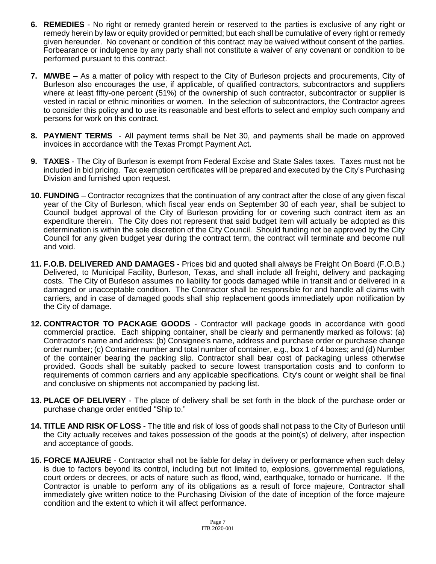- **6. REMEDIES** No right or remedy granted herein or reserved to the parties is exclusive of any right or remedy herein by law or equity provided or permitted; but each shall be cumulative of every right or remedy given hereunder. No covenant or condition of this contract may be waived without consent of the parties. Forbearance or indulgence by any party shall not constitute a waiver of any covenant or condition to be performed pursuant to this contract.
- **7. M/WBE** As a matter of policy with respect to the City of Burleson projects and procurements, City of Burleson also encourages the use, if applicable, of qualified contractors, subcontractors and suppliers where at least fifty-one percent (51%) of the ownership of such contractor, subcontractor or supplier is vested in racial or ethnic minorities or women. In the selection of subcontractors, the Contractor agrees to consider this policy and to use its reasonable and best efforts to select and employ such company and persons for work on this contract.
- **8. PAYMENT TERMS** All payment terms shall be Net 30, and payments shall be made on approved invoices in accordance with the Texas Prompt Payment Act.
- **9. TAXES**  The City of Burleson is exempt from Federal Excise and State Sales taxes. Taxes must not be included in bid pricing. Tax exemption certificates will be prepared and executed by the City's Purchasing Division and furnished upon request.
- **10. FUNDING** Contractor recognizes that the continuation of any contract after the close of any given fiscal year of the City of Burleson, which fiscal year ends on September 30 of each year, shall be subject to Council budget approval of the City of Burleson providing for or covering such contract item as an expenditure therein. The City does not represent that said budget item will actually be adopted as this determination is within the sole discretion of the City Council. Should funding not be approved by the City Council for any given budget year during the contract term, the contract will terminate and become null and void.
- **11. F.O.B. DELIVERED AND DAMAGES** Prices bid and quoted shall always be Freight On Board (F.O.B.) Delivered, to Municipal Facility, Burleson, Texas, and shall include all freight, delivery and packaging costs. The City of Burleson assumes no liability for goods damaged while in transit and or delivered in a damaged or unacceptable condition. The Contractor shall be responsible for and handle all claims with carriers, and in case of damaged goods shall ship replacement goods immediately upon notification by the City of damage.
- **12. CONTRACTOR TO PACKAGE GOODS** Contractor will package goods in accordance with good commercial practice. Each shipping container, shall be clearly and permanently marked as follows: (a) Contractor's name and address: (b) Consignee's name, address and purchase order or purchase change order number; (c) Container number and total number of container, e.g., box 1 of 4 boxes; and (d) Number of the container bearing the packing slip. Contractor shall bear cost of packaging unless otherwise provided. Goods shall be suitably packed to secure lowest transportation costs and to conform to requirements of common carriers and any applicable specifications. City's count or weight shall be final and conclusive on shipments not accompanied by packing list.
- **13. PLACE OF DELIVERY** The place of delivery shall be set forth in the block of the purchase order or purchase change order entitled "Ship to."
- **14. TITLE AND RISK OF LOSS** The title and risk of loss of goods shall not pass to the City of Burleson until the City actually receives and takes possession of the goods at the point(s) of delivery, after inspection and acceptance of goods.
- **15. FORCE MAJEURE** Contractor shall not be liable for delay in delivery or performance when such delay is due to factors beyond its control, including but not limited to, explosions, governmental regulations, court orders or decrees, or acts of nature such as flood, wind, earthquake, tornado or hurricane. If the Contractor is unable to perform any of its obligations as a result of force majeure, Contractor shall immediately give written notice to the Purchasing Division of the date of inception of the force majeure condition and the extent to which it will affect performance.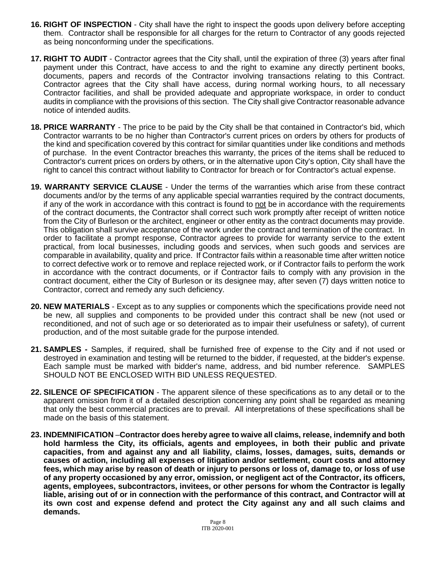- **16. RIGHT OF INSPECTION** City shall have the right to inspect the goods upon delivery before accepting them. Contractor shall be responsible for all charges for the return to Contractor of any goods rejected as being nonconforming under the specifications.
- **17. RIGHT TO AUDIT** Contractor agrees that the City shall, until the expiration of three (3) years after final payment under this Contract, have access to and the right to examine any directly pertinent books, documents, papers and records of the Contractor involving transactions relating to this Contract. Contractor agrees that the City shall have access, during normal working hours, to all necessary Contractor facilities, and shall be provided adequate and appropriate workspace, in order to conduct audits in compliance with the provisions of this section. The City shall give Contractor reasonable advance notice of intended audits.
- **18. PRICE WARRANTY** The price to be paid by the City shall be that contained in Contractor's bid, which Contractor warrants to be no higher than Contractor's current prices on orders by others for products of the kind and specification covered by this contract for similar quantities under like conditions and methods of purchase. In the event Contractor breaches this warranty, the prices of the items shall be reduced to Contractor's current prices on orders by others, or in the alternative upon City's option, City shall have the right to cancel this contract without liability to Contractor for breach or for Contractor's actual expense.
- **19. WARRANTY SERVICE CLAUSE** Under the terms of the warranties which arise from these contract documents and/or by the terms of any applicable special warranties required by the contract documents, if any of the work in accordance with this contract is found to not be in accordance with the requirements of the contract documents, the Contractor shall correct such work promptly after receipt of written notice from the City of Burleson or the architect, engineer or other entity as the contract documents may provide. This obligation shall survive acceptance of the work under the contract and termination of the contract. In order to facilitate a prompt response, Contractor agrees to provide for warranty service to the extent practical, from local businesses, including goods and services, when such goods and services are comparable in availability, quality and price. If Contractor fails within a reasonable time after written notice to correct defective work or to remove and replace rejected work, or if Contractor fails to perform the work in accordance with the contract documents, or if Contractor fails to comply with any provision in the contract document, either the City of Burleson or its designee may, after seven (7) days written notice to Contractor, correct and remedy any such deficiency.
- **20. NEW MATERIALS** Except as to any supplies or components which the specifications provide need not be new, all supplies and components to be provided under this contract shall be new (not used or reconditioned, and not of such age or so deteriorated as to impair their usefulness or safety), of current production, and of the most suitable grade for the purpose intended.
- **21. SAMPLES -** Samples, if required, shall be furnished free of expense to the City and if not used or destroyed in examination and testing will be returned to the bidder, if requested, at the bidder's expense. Each sample must be marked with bidder's name, address, and bid number reference. SAMPLES SHOULD NOT BE ENCLOSED WITH BID UNLESS REQUESTED.
- **22. SILENCE OF SPECIFICATION** The apparent silence of these specifications as to any detail or to the apparent omission from it of a detailed description concerning any point shall be regarded as meaning that only the best commercial practices are to prevail. All interpretations of these specifications shall be made on the basis of this statement.
- **23. INDEMNIFICATION** –**Contractor does hereby agree to waive all claims, release, indemnify and both hold harmless the City, its officials, agents and employees, in both their public and private capacities, from and against any and all liability, claims, losses, damages, suits, demands or causes of action, including all expenses of litigation and/or settlement, court costs and attorney fees, which may arise by reason of death or injury to persons or loss of, damage to, or loss of use of any property occasioned by any error, omission, or negligent act of the Contractor, its officers, agents, employees, subcontractors, invitees, or other persons for whom the Contractor is legally liable, arising out of or in connection with the performance of this contract, and Contractor will at its own cost and expense defend and protect the City against any and all such claims and demands.**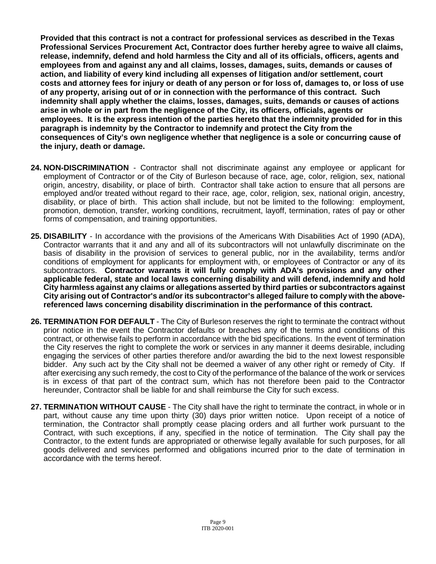**Provided that this contract is not a contract for professional services as described in the Texas Professional Services Procurement Act, Contractor does further hereby agree to waive all claims, release, indemnify, defend and hold harmless the City and all of its officials, officers, agents and employees from and against any and all claims, losses, damages, suits, demands or causes of action, and liability of every kind including all expenses of litigation and/or settlement, court costs and attorney fees for injury or death of any person or for loss of, damages to, or loss of use of any property, arising out of or in connection with the performance of this contract. Such indemnity shall apply whether the claims, losses, damages, suits, demands or causes of actions arise in whole or in part from the negligence of the City, its officers, officials, agents or employees. It is the express intention of the parties hereto that the indemnity provided for in this paragraph is indemnity by the Contractor to indemnify and protect the City from the consequences of City's own negligence whether that negligence is a sole or concurring cause of the injury, death or damage.**

- **24. NON-DISCRIMINATION** Contractor shall not discriminate against any employee or applicant for employment of Contractor or of the City of Burleson because of race, age, color, religion, sex, national origin, ancestry, disability, or place of birth. Contractor shall take action to ensure that all persons are employed and/or treated without regard to their race, age, color, religion, sex, national origin, ancestry, disability, or place of birth. This action shall include, but not be limited to the following: employment, promotion, demotion, transfer, working conditions, recruitment, layoff, termination, rates of pay or other forms of compensation, and training opportunities.
- **25. DISABILITY** In accordance with the provisions of the Americans With Disabilities Act of 1990 (ADA), Contractor warrants that it and any and all of its subcontractors will not unlawfully discriminate on the basis of disability in the provision of services to general public, nor in the availability, terms and/or conditions of employment for applicants for employment with, or employees of Contractor or any of its subcontractors. **Contractor warrants it will fully comply with ADA's provisions and any other applicable federal, state and local laws concerning disability and will defend, indemnify and hold City harmless against any claims or allegations asserted by third parties or subcontractors against City arising out of Contractor's and/or its subcontractor's alleged failure to comply with the abovereferenced laws concerning disability discrimination in the performance of this contract.**
- **26. TERMINATION FOR DEFAULT** The City of Burleson reserves the right to terminate the contract without prior notice in the event the Contractor defaults or breaches any of the terms and conditions of this contract, or otherwise fails to perform in accordance with the bid specifications. In the event of termination the City reserves the right to complete the work or services in any manner it deems desirable, including engaging the services of other parties therefore and/or awarding the bid to the next lowest responsible bidder. Any such act by the City shall not be deemed a waiver of any other right or remedy of City. If after exercising any such remedy, the cost to City of the performance of the balance of the work or services is in excess of that part of the contract sum, which has not therefore been paid to the Contractor hereunder, Contractor shall be liable for and shall reimburse the City for such excess.
- **27. TERMINATION WITHOUT CAUSE** The City shall have the right to terminate the contract, in whole or in part, without cause any time upon thirty (30) days prior written notice. Upon receipt of a notice of termination, the Contractor shall promptly cease placing orders and all further work pursuant to the Contract, with such exceptions, if any, specified in the notice of termination. The City shall pay the Contractor, to the extent funds are appropriated or otherwise legally available for such purposes, for all goods delivered and services performed and obligations incurred prior to the date of termination in accordance with the terms hereof.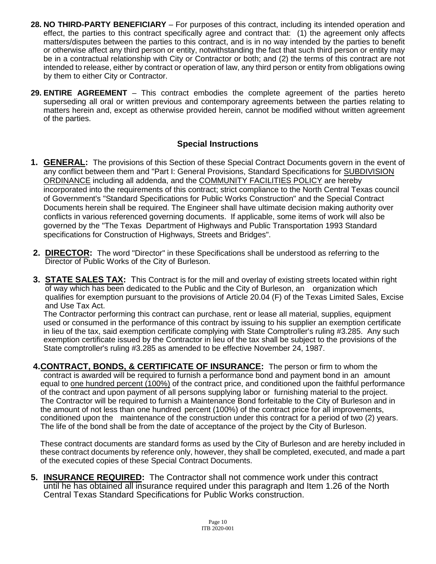- **28. NO THIRD-PARTY BENEFICIARY** For purposes of this contract, including its intended operation and effect, the parties to this contract specifically agree and contract that: (1) the agreement only affects matters/disputes between the parties to this contract, and is in no way intended by the parties to benefit or otherwise affect any third person or entity, notwithstanding the fact that such third person or entity may be in a contractual relationship with City or Contractor or both; and (2) the terms of this contract are not intended to release, either by contract or operation of law, any third person or entity from obligations owing by them to either City or Contractor.
- **29. ENTIRE AGREEMENT** This contract embodies the complete agreement of the parties hereto superseding all oral or written previous and contemporary agreements between the parties relating to matters herein and, except as otherwise provided herein, cannot be modified without written agreement of the parties.

# **Special Instructions**

- **1. GENERAL:** The provisions of this Section of these Special Contract Documents govern in the event of any conflict between them and "Part I: General Provisions, Standard Specifications for SUBDIVISION ORDINANCE including all addenda, and the COMMUNITY FACILITIES POLICY are hereby incorporated into the requirements of this contract; strict compliance to the North Central Texas council of Government's "Standard Specifications for Public Works Construction" and the Special Contract Documents herein shall be required. The Engineer shall have ultimate decision making authority over conflicts in various referenced governing documents. If applicable, some items of work will also be governed by the "The Texas Department of Highways and Public Transportation 1993 Standard specifications for Construction of Highways, Streets and Bridges".
- **2. DIRECTOR:** The word "Director" in these Specifications shall be understood as referring to the Director of Public Works of the City of Burleson.
- **3. STATE SALES TAX:** This Contract is for the mill and overlay of existing streets located within right of way which has been dedicated to the Public and the City of Burleson, an organization which qualifies for exemption pursuant to the provisions of Article 20.04 (F) of the Texas Limited Sales, Excise and Use Tax Act.

The Contractor performing this contract can purchase, rent or lease all material, supplies, equipment used or consumed in the performance of this contract by issuing to his supplier an exemption certificate in lieu of the tax, said exemption certificate complying with State Comptroller's ruling #3.285. Any such exemption certificate issued by the Contractor in lieu of the tax shall be subject to the provisions of the State comptroller's ruling #3.285 as amended to be effective November 24, 1987.

**4.CONTRACT, BONDS, & CERTIFICATE OF INSURANCE:** The person or firm to whom the contract is awarded will be required to furnish a performance bond and payment bond in an amount equal to one hundred percent (100%) of the contract price, and conditioned upon the faithful performance of the contract and upon payment of all persons supplying labor or furnishing material to the project. The Contractor will be required to furnish a Maintenance Bond forfeitable to the City of Burleson and in the amount of not less than one hundred percent (100%) of the contract price for all improvements, conditioned upon the maintenance of the construction under this contract for a period of two (2) years. The life of the bond shall be from the date of acceptance of the project by the City of Burleson.

These contract documents are standard forms as used by the City of Burleson and are hereby included in these contract documents by reference only, however, they shall be completed, executed, and made a part of the executed copies of these Special Contract Documents.

**5. INSURANCE REQUIRED:** The Contractor shall not commence work under this contract until he has obtained all insurance required under this paragraph and Item 1.26 of the North Central Texas Standard Specifications for Public Works construction.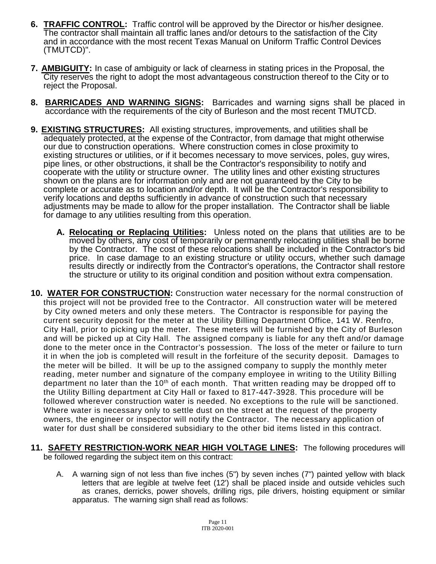- **6. TRAFFIC CONTROL:** Traffic control will be approved by the Director or his/her designee. The contractor shall maintain all traffic lanes and/or detours to the satisfaction of the City and in accordance with the most recent Texas Manual on Uniform Traffic Control Devices (TMUTCD)".
- **7. AMBIGUITY:** In case of ambiguity or lack of clearness in stating prices in the Proposal, the City reserves the right to adopt the most advantageous construction thereof to the City or to reject the Proposal.
- **8. BARRICADES AND WARNING SIGNS:** Barricades and warning signs shall be placed in accordance with the requirements of the city of Burleson and the most recent TMUTCD.
- **9. EXISTING STRUCTURES:** All existing structures, improvements, and utilities shall be adequately protected, at the expense of the Contractor, from damage that might otherwise our due to construction operations. Where construction comes in close proximity to existing structures or utilities, or if it becomes necessary to move services, poles, guy wires, pipe lines, or other obstructions, it shall be the Contractor's responsibility to notify and cooperate with the utility or structure owner. The utility lines and other existing structures shown on the plans are for information only and are not guaranteed by the City to be complete or accurate as to location and/or depth. It will be the Contractor's responsibility to verify locations and depths sufficiently in advance of construction such that necessary adjustments may be made to allow for the proper installation. The Contractor shall be liable for damage to any utilities resulting from this operation.
	- **A. Relocating or Replacing Utilities:** Unless noted on the plans that utilities are to be moved by others, any cost of temporarily or permanently relocating utilities shall be borne by the Contractor. The cost of these relocations shall be included in the Contractor's bid price. In case damage to an existing structure or utility occurs, whether such damage results directly or indirectly from the Contractor's operations, the Contractor shall restore the structure or utility to its original condition and position without extra compensation.
- **10. WATER FOR CONSTRUCTION:** Construction water necessary for the normal construction of this project will not be provided free to the Contractor. All construction water will be metered by City owned meters and only these meters. The Contractor is responsible for paying the current security deposit for the meter at the Utility Billing Department Office, 141 W. Renfro, City Hall, prior to picking up the meter. These meters will be furnished by the City of Burleson and will be picked up at City Hall. The assigned company is liable for any theft and/or damage done to the meter once in the Contractor's possession. The loss of the meter or failure to turn it in when the job is completed will result in the forfeiture of the security deposit. Damages to the meter will be billed. It will be up to the assigned company to supply the monthly meter reading, meter number and signature of the company employee in writing to the Utility Billing department no later than the  $10<sup>th</sup>$  of each month. That written reading may be dropped off to the Utility Billing department at City Hall or faxed to 817-447-3928. This procedure will be followed wherever construction water is needed. No exceptions to the rule will be sanctioned. Where water is necessary only to settle dust on the street at the request of the property owners, the engineer or inspector will notify the Contractor. The necessary application of water for dust shall be considered subsidiary to the other bid items listed in this contract.
- **11. SAFETY RESTRICTION-WORK NEAR HIGH VOLTAGE LINES:** The following procedures will be followed regarding the subject item on this contract:
	- A. A warning sign of not less than five inches (5") by seven inches (7") painted yellow with black letters that are legible at twelve feet (12') shall be placed inside and outside vehicles such as cranes, derricks, power shovels, drilling rigs, pile drivers, hoisting equipment or similar apparatus. The warning sign shall read as follows: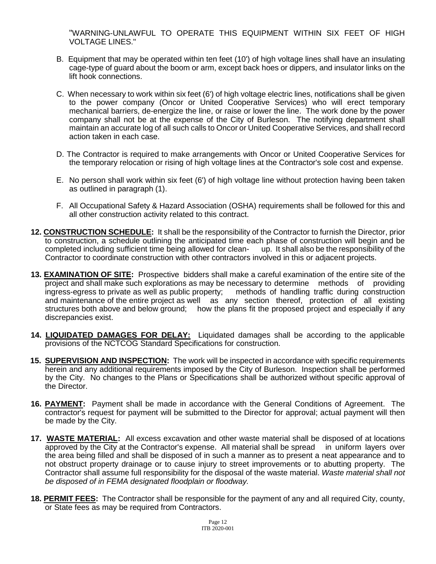"WARNING-UNLAWFUL TO OPERATE THIS EQUIPMENT WITHIN SIX FEET OF HIGH VOLTAGE LINES."

- B. Equipment that may be operated within ten feet (10') of high voltage lines shall have an insulating cage-type of guard about the boom or arm, except back hoes or dippers, and insulator links on the lift hook connections.
- C. When necessary to work within six feet (6') of high voltage electric lines, notifications shall be given to the power company (Oncor or United Cooperative Services) who will erect temporary mechanical barriers, de-energize the line, or raise or lower the line. The work done by the power company shall not be at the expense of the City of Burleson. The notifying department shall maintain an accurate log of all such calls to Oncor or United Cooperative Services, and shall record action taken in each case.
- D. The Contractor is required to make arrangements with Oncor or United Cooperative Services for the temporary relocation or rising of high voltage lines at the Contractor's sole cost and expense.
- E. No person shall work within six feet (6') of high voltage line without protection having been taken as outlined in paragraph (1).
- F. All Occupational Safety & Hazard Association (OSHA) requirements shall be followed for this and all other construction activity related to this contract.
- **12. CONSTRUCTION SCHEDULE:** It shall be the responsibility of the Contractor to furnish the Director, prior to construction, a schedule outlining the anticipated time each phase of construction will begin and be completed including sufficient time being allowed for clean- up. It shall also be the responsibility of the Contractor to coordinate construction with other contractors involved in this or adjacent projects.
- **13. EXAMINATION OF SITE:** Prospective bidders shall make a careful examination of the entire site of the project and shall make such explorations as may be necessary to determine methods of providing<br>ingress-egress to private as well as public property; methods of handling traffic during construction ingress-egress to private as well as public property; and maintenance of the entire project as well as any section thereof, protection of all existing structures both above and below ground; how the plans fit the proposed project and especially if any discrepancies exist.
- **14. LIQUIDATED DAMAGES FOR DELAY:** Liquidated damages shall be according to the applicable provisions of the NCTCOG Standard Specifications for construction.
- **15. SUPERVISION AND INSPECTION:** The work will be inspected in accordance with specific requirements herein and any additional requirements imposed by the City of Burleson. Inspection shall be performed by the City. No changes to the Plans or Specifications shall be authorized without specific approval of the Director.
- **16. PAYMENT:** Payment shall be made in accordance with the General Conditions of Agreement. The contractor's request for payment will be submitted to the Director for approval; actual payment will then be made by the City.
- **17. WASTE MATERIAL:** All excess excavation and other waste material shall be disposed of at locations approved by the City at the Contractor's expense. All material shall be spread in uniform layers over the area being filled and shall be disposed of in such a manner as to present a neat appearance and to not obstruct property drainage or to cause injury to street improvements or to abutting property. The Contractor shall assume full responsibility for the disposal of the waste material. *Waste material shall not be disposed of in FEMA designated floodplain or floodway.*
- **18. PERMIT FEES:** The Contractor shall be responsible for the payment of any and all required City, county, or State fees as may be required from Contractors.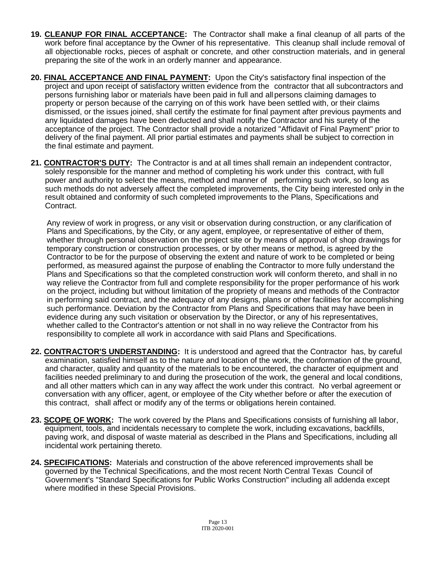- **19. CLEANUP FOR FINAL ACCEPTANCE:** The Contractor shall make a final cleanup of all parts of the work before final acceptance by the Owner of his representative. This cleanup shall include removal of all objectionable rocks, pieces of asphalt or concrete, and other construction materials, and in general preparing the site of the work in an orderly manner and appearance.
- **20. FINAL ACCEPTANCE AND FINAL PAYMENT:** Upon the City's satisfactory final inspection of the project and upon receipt of satisfactory written evidence from the contractor that all subcontractors and persons furnishing labor or materials have been paid in full and allpersons claiming damages to property or person because of the carrying on of this work have been settled with, or their claims dismissed, or the issues joined, shall certify the estimate for final payment after previous payments and any liquidated damages have been deducted and shall notify the Contractor and his surety of the acceptance of the project. The Contractor shall provide a notarized "Affidavit of Final Payment" prior to delivery of the final payment. All prior partial estimates and payments shall be subject to correction in the final estimate and payment.
- **21. CONTRACTOR'S DUTY:** The Contractor is and at all times shall remain an independent contractor, solely responsible for the manner and method of completing his work under this contract, with full power and authority to select the means, method and manner of performing such work, so long as such methods do not adversely affect the completed improvements, the City being interested only in the result obtained and conformity of such completed improvements to the Plans, Specifications and Contract.

Any review of work in progress, or any visit or observation during construction, or any clarification of Plans and Specifications, by the City, or any agent, employee, or representative of either of them, whether through personal observation on the project site or by means of approval of shop drawings for temporary construction or construction processes, or by other means or method, is agreed by the Contractor to be for the purpose of observing the extent and nature of work to be completed or being performed, as measured against the purpose of enabling the Contractor to more fully understand the Plans and Specifications so that the completed construction work will conform thereto, and shall in no way relieve the Contractor from full and complete responsibility for the proper performance of his work on the project, including but without limitation of the propriety of means and methods of the Contractor in performing said contract, and the adequacy of any designs, plans or other facilities for accomplishing such performance. Deviation by the Contractor from Plans and Specifications that may have been in evidence during any such visitation or observation by the Director, or any of his representatives, whether called to the Contractor's attention or not shall in no way relieve the Contractor from his responsibility to complete all work in accordance with said Plans and Specifications.

- **22. CONTRACTOR'S UNDERSTANDING:** It is understood and agreed that the Contractor has, by careful examination, satisfied himself as to the nature and location of the work, the conformation of the ground, and character, quality and quantity of the materials to be encountered, the character of equipment and facilities needed preliminary to and during the prosecution of the work, the general and local conditions, and all other matters which can in any way affect the work under this contract. No verbal agreement or conversation with any officer, agent, or employee of the City whether before or after the execution of this contract, shall affect or modify any of the terms or obligations herein contained.
- **23. SCOPE OF WORK:** The work covered by the Plans and Specifications consists of furnishing all labor, equipment, tools, and incidentals necessary to complete the work, including excavations, backfills, paving work, and disposal of waste material as described in the Plans and Specifications, including all incidental work pertaining thereto.
- **24. SPECIFICATIONS:** Materials and construction of the above referenced improvements shall be governed by the Technical Specifications, and the most recent North Central Texas Council of Government's "Standard Specifications for Public Works Construction" including all addenda except where modified in these Special Provisions.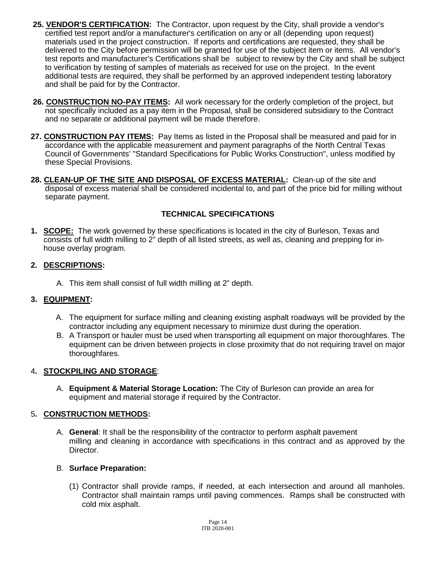- **25. VENDOR'S CERTIFICATION:** The Contractor, upon request by the City, shall provide a vendor's certified test report and/or a manufacturer's certification on any or all (depending upon request) materials used in the project construction. If reports and certifications are requested, they shall be delivered to the City before permission will be granted for use of the subject item or items. All vendor's test reports and manufacturer's Certifications shall be subject to review by the City and shall be subject to verification by testing of samples of materials as received for use on the project. In the event additional tests are required, they shall be performed by an approved independent testing laboratory and shall be paid for by the Contractor.
- **26. CONSTRUCTION NO-PAY ITEMS:** All work necessary for the orderly completion of the project, but not specifically included as a pay item in the Proposal, shall be considered subsidiary to the Contract and no separate or additional payment will be made therefore.
- 27. CONSTRUCTION PAY ITEMS: Pay Items as listed in the Proposal shall be measured and paid for in accordance with the applicable measurement and payment paragraphs of the North Central Texas Council of Governments' "Standard Specifications for Public Works Construction", unless modified by these Special Provisions.
- **28. CLEAN-UP OF THE SITE AND DISPOSAL OF EXCESS MATERIAL:** Clean-up of the site and disposal of excess material shall be considered incidental to, and part of the price bid for milling without separate payment.

## **TECHNICAL SPECIFICATIONS**

**1. SCOPE:** The work governed by these specifications is located in the city of Burleson, Texas and consists of full width milling to 2" depth of all listed streets, as well as, cleaning and prepping for inhouse overlay program.

## **2. DESCRIPTIONS:**

A. This item shall consist of full width milling at 2" depth.

# **3. EQUIPMENT:**

- A. The equipment for surface milling and cleaning existing asphalt roadways will be provided by the contractor including any equipment necessary to minimize dust during the operation.
- B. A Transport or hauler must be used when transporting all equipment on major thoroughfares. The equipment can be driven between projects in close proximity that do not requiring travel on major thoroughfares.

## 4**. STOCKPILING AND STORAGE**:

A. **Equipment & Material Storage Location:** The City of Burleson can provide an area for equipment and material storage if required by the Contractor.

## 5**. CONSTRUCTION METHODS:**

A. **General**: It shall be the responsibility of the contractor to perform asphalt pavement milling and cleaning in accordance with specifications in this contract and as approved by the Director.

## B. **Surface Preparation:**

(1) Contractor shall provide ramps, if needed, at each intersection and around all manholes. Contractor shall maintain ramps until paving commences. Ramps shall be constructed with cold mix asphalt.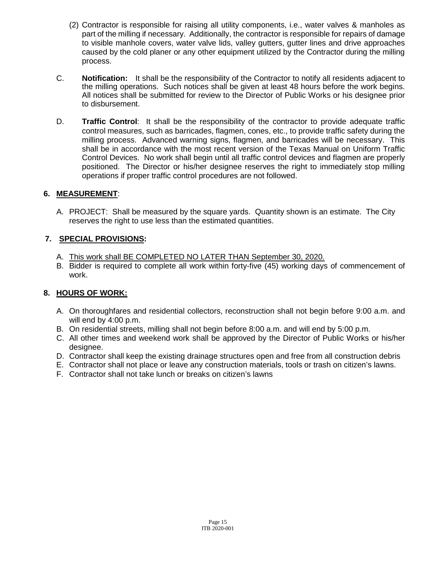- (2) Contractor is responsible for raising all utility components, i.e., water valves & manholes as part of the milling if necessary. Additionally, the contractor is responsible for repairs of damage to visible manhole covers, water valve lids, valley gutters, gutter lines and drive approaches caused by the cold planer or any other equipment utilized by the Contractor during the milling process.
- C. **Notification:** It shall be the responsibility of the Contractor to notify all residents adjacent to the milling operations. Such notices shall be given at least 48 hours before the work begins. All notices shall be submitted for review to the Director of Public Works or his designee prior to disbursement.
- D. **Traffic Control**: It shall be the responsibility of the contractor to provide adequate traffic control measures, such as barricades, flagmen, cones, etc., to provide traffic safety during the milling process. Advanced warning signs, flagmen, and barricades will be necessary. This shall be in accordance with the most recent version of the Texas Manual on Uniform Traffic Control Devices. No work shall begin until all traffic control devices and flagmen are properly positioned. The Director or his/her designee reserves the right to immediately stop milling operations if proper traffic control procedures are not followed.

## **6. MEASUREMENT**:

A. PROJECT: Shall be measured by the square yards. Quantity shown is an estimate. The City reserves the right to use less than the estimated quantities.

## **7. SPECIAL PROVISIONS:**

- A. This work shall BE COMPLETED NO LATER THAN September 30, 2020.
- B. Bidder is required to complete all work within forty-five (45) working days of commencement of work.

## **8. HOURS OF WORK:**

- A. On thoroughfares and residential collectors, reconstruction shall not begin before 9:00 a.m. and will end by 4:00 p.m.
- B. On residential streets, milling shall not begin before 8:00 a.m. and will end by 5:00 p.m.
- C. All other times and weekend work shall be approved by the Director of Public Works or his/her designee.
- D. Contractor shall keep the existing drainage structures open and free from all construction debris
- E. Contractor shall not place or leave any construction materials, tools or trash on citizen's lawns.
- F. Contractor shall not take lunch or breaks on citizen's lawns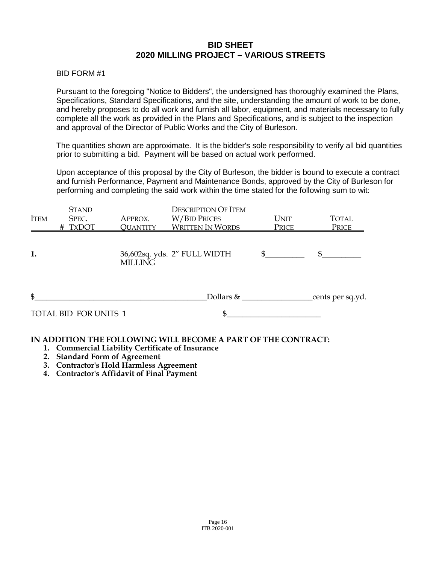## **BID SHEET 2020 MILLING PROJECT – VARIOUS STREETS**

BID FORM #1

Pursuant to the foregoing "Notice to Bidders", the undersigned has thoroughly examined the Plans, Specifications, Standard Specifications, and the site, understanding the amount of work to be done, and hereby proposes to do all work and furnish all labor, equipment, and materials necessary to fully complete all the work as provided in the Plans and Specifications, and is subject to the inspection and approval of the Director of Public Works and the City of Burleson.

The quantities shown are approximate. It is the bidder's sole responsibility to verify all bid quantities prior to submitting a bid. Payment will be based on actual work performed.

Upon acceptance of this proposal by the City of Burleson, the bidder is bound to execute a contract and furnish Performance, Payment and Maintenance Bonds, approved by the City of Burleson for performing and completing the said work within the time stated for the following sum to wit:

|                | <b>STAND</b>          |                 | <b>DESCRIPTION OF ITEM</b>   |                |                   |
|----------------|-----------------------|-----------------|------------------------------|----------------|-------------------|
| <b>ITEM</b>    | SPEC.                 | APPROX.         | W/BID PRICES                 | UNIT           | <b>TOTAL</b>      |
|                | # TXDOT               | <b>QUANTITY</b> | <b>WRITTEN IN WORDS</b>      | Price          | Price             |
| 1.             |                       | <b>MILLING</b>  | 36,602sq. yds. 2" FULL WIDTH | $\mathbb{S}^-$ | \$.               |
| $\mathfrak{S}$ | TOTAL BID FOR UNITS 1 |                 | Dollars $\&$                 |                | _cents per sq.yd. |
|                |                       |                 |                              |                |                   |

#### **IN ADDITION THE FOLLOWING WILL BECOME A PART OF THE CONTRACT:**

- **1. Commercial Liability Certificate of Insurance**
- **2. Standard Form of Agreement**
- **3. Contractor's Hold Harmless Agreement**
- **4. Contractor's Affidavit of Final Payment**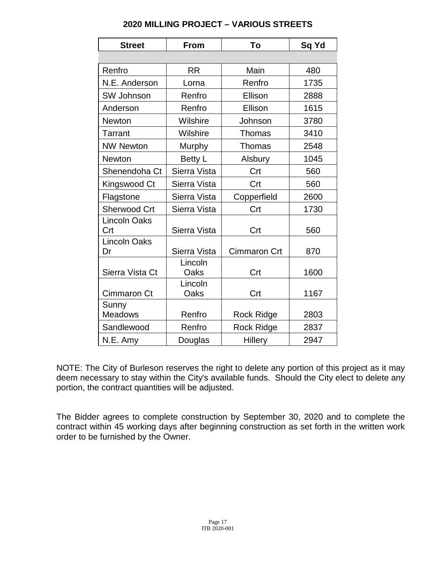| <b>Street</b>              | <b>From</b>     | To                  | Sq Yd |
|----------------------------|-----------------|---------------------|-------|
|                            |                 |                     |       |
| Renfro                     | <b>RR</b>       | Main                | 480   |
| N.E. Anderson              | Lorna           | Renfro              | 1735  |
| SW Johnson                 | Renfro          | Ellison             | 2888  |
| Anderson                   | Renfro          | Ellison             | 1615  |
| <b>Newton</b>              | Wilshire        | Johnson             | 3780  |
| Tarrant                    | Wilshire        | <b>Thomas</b>       | 3410  |
| <b>NW Newton</b>           | <b>Murphy</b>   | Thomas              | 2548  |
| <b>Newton</b>              | Betty L         | Alsbury             | 1045  |
| Shenendoha Ct              | Sierra Vista    | Crt                 | 560   |
| Kingswood Ct               | Sierra Vista    | Crt                 | 560   |
| Flagstone                  | Sierra Vista    | Copperfield         | 2600  |
| Sherwood Crt               | Sierra Vista    | Crt                 | 1730  |
| <b>Lincoln Oaks</b><br>Crt | Sierra Vista    | Crt                 | 560   |
| <b>Lincoln Oaks</b><br>Dr  | Sierra Vista    | <b>Cimmaron Crt</b> | 870   |
| Sierra Vista Ct            | Lincoln<br>Oaks | Crt                 | 1600  |
| Cimmaron Ct                | Lincoln<br>Oaks | Crt                 | 1167  |
| Sunny<br><b>Meadows</b>    | Renfro          | <b>Rock Ridge</b>   | 2803  |
| Sandlewood                 | Renfro          | <b>Rock Ridge</b>   | 2837  |
| N.E. Amy                   | Douglas         | <b>Hillery</b>      | 2947  |

## **2020 MILLING PROJECT – VARIOUS STREETS**

NOTE: The City of Burleson reserves the right to delete any portion of this project as it may deem necessary to stay within the City's available funds. Should the City elect to delete any portion, the contract quantities will be adjusted.

The Bidder agrees to complete construction by September 30, 2020 and to complete the contract within 45 working days after beginning construction as set forth in the written work order to be furnished by the Owner.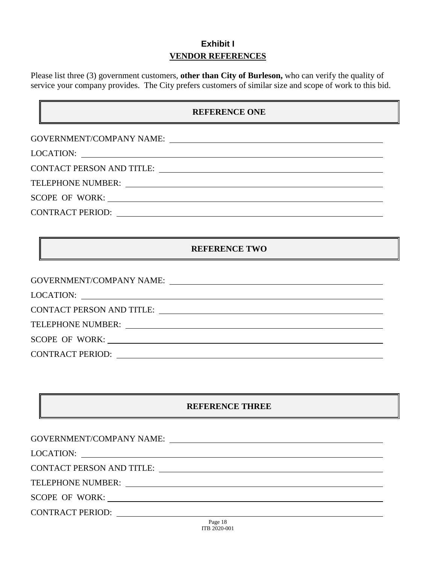# **Exhibit I VENDOR REFERENCES**

Please list three (3) government customers, **other than City of Burleson,** who can verify the quality of service your company provides. The City prefers customers of similar size and scope of work to this bid.

## **REFERENCE ONE**

|                         | CONTACT PERSON AND TITLE: University of the contract of the contract of the contract of the contract of the contract of the contract of the contract of the contract of the contract of the contract of the contract of the co |
|-------------------------|--------------------------------------------------------------------------------------------------------------------------------------------------------------------------------------------------------------------------------|
|                         |                                                                                                                                                                                                                                |
|                         |                                                                                                                                                                                                                                |
| <b>CONTRACT PERIOD:</b> | <u> 1989 - Johann Stoff, amerikansk politiker (d. 1989)</u>                                                                                                                                                                    |

## **REFERENCE TWO**

| GOVERNMENT/COMPANY NAME:                                                                                                                                                                                                       |
|--------------------------------------------------------------------------------------------------------------------------------------------------------------------------------------------------------------------------------|
| LOCATION:                                                                                                                                                                                                                      |
| CONTACT PERSON AND TITLE: THE SERVICE OF A SERVICE OF A SERVICE OF A SERVICE OF A SERVICE OF A SERVICE OF A SERVICE OF A SERVICE OF A SERVICE OF A SERVICE OF A SERVICE OF A SERVICE OF A SERVICE OF A SERVICE OF A SERVICE OF |
| TELEPHONE NUMBER: University of the UK of the UK of the UK of the UK of the UK of the UK of the UK of the UK o                                                                                                                 |
| SCOPE OF WORK:                                                                                                                                                                                                                 |
| CONTRACT PERIOD:                                                                                                                                                                                                               |

## **REFERENCE THREE**

| CONTACT PERSON AND TITLE: University of the Second Line of the Second Line of the Second Line of the Second Line of the Second Line of the Second Line of the Second Line of the Second Line of the Second Line of the Second |
|-------------------------------------------------------------------------------------------------------------------------------------------------------------------------------------------------------------------------------|
|                                                                                                                                                                                                                               |
| SCOPE OF WORK:                                                                                                                                                                                                                |
|                                                                                                                                                                                                                               |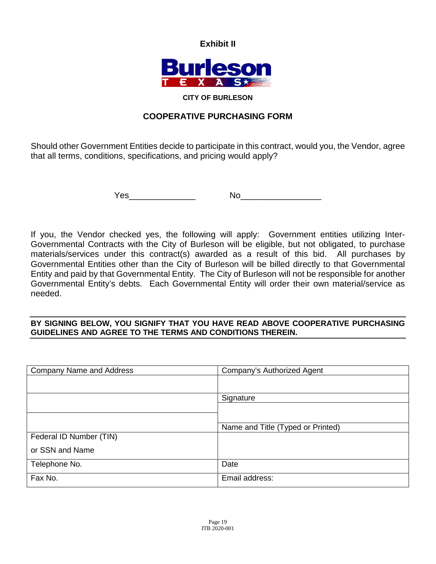**Exhibit II**



#### **CITY OF BURLESON**

# **COOPERATIVE PURCHASING FORM**

Should other Government Entities decide to participate in this contract, would you, the Vendor, agree that all terms, conditions, specifications, and pricing would apply?

Yes\_\_\_\_\_\_\_\_\_\_\_\_\_\_ No\_\_\_\_\_\_\_\_\_\_\_\_\_\_\_\_\_

If you, the Vendor checked yes, the following will apply: Government entities utilizing Inter-Governmental Contracts with the City of Burleson will be eligible, but not obligated, to purchase materials/services under this contract(s) awarded as a result of this bid. All purchases by Governmental Entities other than the City of Burleson will be billed directly to that Governmental Entity and paid by that Governmental Entity. The City of Burleson will not be responsible for another Governmental Entity's debts. Each Governmental Entity will order their own material/service as needed.

## **BY SIGNING BELOW, YOU SIGNIFY THAT YOU HAVE READ ABOVE COOPERATIVE PURCHASING GUIDELINES AND AGREE TO THE TERMS AND CONDITIONS THEREIN.**

| <b>Company Name and Address</b> | Company's Authorized Agent        |
|---------------------------------|-----------------------------------|
|                                 |                                   |
|                                 | Signature                         |
|                                 |                                   |
|                                 |                                   |
|                                 | Name and Title (Typed or Printed) |
| Federal ID Number (TIN)         |                                   |
| or SSN and Name                 |                                   |
| Telephone No.                   | Date                              |
| Fax No.                         | Email address:                    |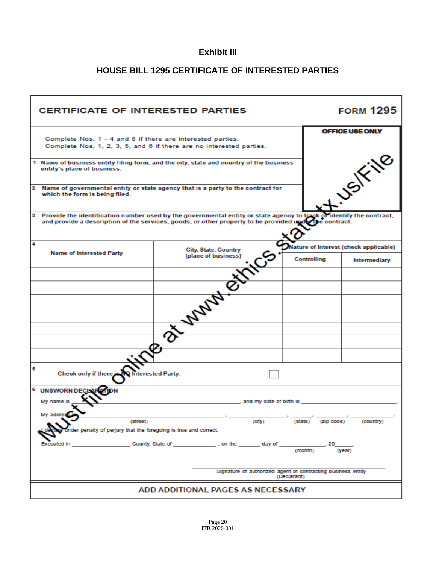# **Exhibit III**

# **HOUSE BILL 1295 CERTIFICATE OF INTERESTED PARTIES**

| <b>CERTIFICATE OF INTERESTED PARTIES</b>                                                                                  |                                                                                                                                                                                                                               |  |             | <b>FORM 1295</b>                     |
|---------------------------------------------------------------------------------------------------------------------------|-------------------------------------------------------------------------------------------------------------------------------------------------------------------------------------------------------------------------------|--|-------------|--------------------------------------|
| Complete Nos. 1 - 4 and 6 if there are interested parties.                                                                | Complete Nos. 1, 2, 3, 5, and 6 if there are no interested parties.                                                                                                                                                           |  |             | OFFICE USE ONLY                      |
| entity's place of business.                                                                                               | USIFING<br>1 Name of business entity filing form, and the city, state and country of the business                                                                                                                             |  |             |                                      |
| $\mathbf{2}$<br>which the form is being filed.                                                                            | Name of governmental entity or state agency that is a party to the contract for                                                                                                                                               |  |             |                                      |
|                                                                                                                           | 3 Provide the identification number used by the governmental entity or state agency to track of identify the contract, and provide a description of the services, goods, or other property to be provided upder the contract. |  |             |                                      |
| 4<br><b>Name of Interested Party</b>                                                                                      | City, State, Country                                                                                                                                                                                                          |  |             | (ature of Interest (check applicable |
|                                                                                                                           | چې<br>(place of business)                                                                                                                                                                                                     |  | Controlling | Intermediary                         |
|                                                                                                                           |                                                                                                                                                                                                                               |  |             |                                      |
|                                                                                                                           |                                                                                                                                                                                                                               |  |             |                                      |
|                                                                                                                           |                                                                                                                                                                                                                               |  |             |                                      |
|                                                                                                                           | <b>Walnut River</b>                                                                                                                                                                                                           |  |             |                                      |
|                                                                                                                           |                                                                                                                                                                                                                               |  |             |                                      |
|                                                                                                                           |                                                                                                                                                                                                                               |  |             |                                      |
|                                                                                                                           |                                                                                                                                                                                                                               |  |             |                                      |
| 5<br>Check only if there is N<br><b>Interested Party.</b>                                                                 |                                                                                                                                                                                                                               |  |             |                                      |
| 6<br><b>UNSWORN DEC</b>                                                                                                   |                                                                                                                                                                                                                               |  |             |                                      |
| My name is                                                                                                                | , and my date of birth is                                                                                                                                                                                                     |  |             |                                      |
|                                                                                                                           |                                                                                                                                                                                                                               |  |             |                                      |
| (street)<br>(state)<br>(city)<br>(zip code)<br>(country)<br>er penalty of perjury that the foregoing is true and correct. |                                                                                                                                                                                                                               |  |             |                                      |
| Executed In                                                                                                               | County, State of <b>County</b> , State of<br>, on the<br>_day of                                                                                                                                                              |  | (month)     | (year)                               |
| Signature of authorized agent of contracting business entity<br>(Declarant)                                               |                                                                                                                                                                                                                               |  |             |                                      |
| ADD ADDITIONAL PAGES AS NECESSARY                                                                                         |                                                                                                                                                                                                                               |  |             |                                      |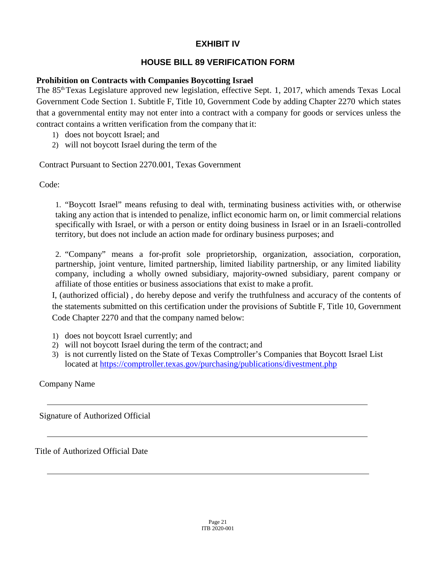# **EXHIBIT IV**

# **HOUSE BILL 89 VERIFICATION FORM**

## **Prohibition on Contracts with Companies Boycotting Israel**

The 85<sup>th</sup> Texas Legislature approved new legislation, effective Sept. 1, 2017, which amends Texas Local Government Code Section 1. Subtitle F, Title 10, Government Code by adding Chapter 2270 which states that a governmental entity may not enter into a contract with a company for goods or services unless the contract contains a written verification from the company that it:

- 1) does not boycott Israel; and
- 2) will not boycott Israel during the term of the

Contract Pursuant to Section 2270.001, Texas Government

Code:

1. "Boycott Israel" means refusing to deal with, terminating business activities with, or otherwise taking any action that is intended to penalize, inflict economic harm on, or limit commercial relations specifically with Israel, or with a person or entity doing business in Israel or in an Israeli-controlled territory, but does not include an action made for ordinary business purposes; and

2. "Company" means a for-profit sole proprietorship, organization, association, corporation, partnership, joint venture, limited partnership, limited liability partnership, or any limited liability company, including a wholly owned subsidiary, majority-owned subsidiary, parent company or affiliate of those entities or business associations that exist to make a profit.

I, (authorized official) , do hereby depose and verify the truthfulness and accuracy of the contents of the statements submitted on this certification under the provisions of Subtitle F, Title 10, Government Code Chapter 2270 and that the company named below:

- 1) does not boycott Israel currently; and
- 2) will not boycott Israel during the term of the contract; and
- 3) is not currently listed on the State of Texas Comptroller's Companies that Boycott Israel List located at https://comptroller.texas.gov/purchasing/publications/divestment.php

Company Name

Signature of Authorized Official

Title of Authorized Official Date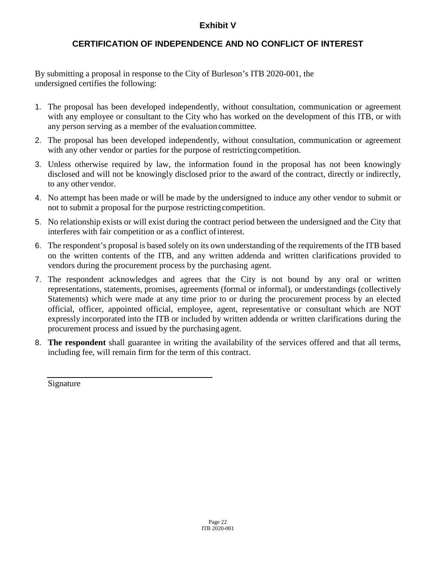# **Exhibit V**

# **CERTIFICATION OF INDEPENDENCE AND NO CONFLICT OF INTEREST**

By submitting a proposal in response to the City of Burleson's ITB 2020-001, the undersigned certifies the following:

- 1. The proposal has been developed independently, without consultation, communication or agreement with any employee or consultant to the City who has worked on the development of this ITB, or with any person serving as a member of the evaluation committee.
- 2. The proposal has been developed independently, without consultation, communication or agreement with any other vendor or parties for the purpose of restricting competition.
- 3. Unless otherwise required by law, the information found in the proposal has not been knowingly disclosed and will not be knowingly disclosed prior to the award of the contract, directly or indirectly, to any other vendor.
- 4. No attempt has been made or will be made by the undersigned to induce any other vendor to submit or not to submit a proposal for the purpose restrictingcompetition.
- 5. No relationship exists or will exist during the contract period between the undersigned and the City that interferes with fair competition or as a conflict ofinterest.
- 6. The respondent's proposal is based solely on its own understanding of the requirements of the ITB based on the written contents of the ITB, and any written addenda and written clarifications provided to vendors during the procurement process by the purchasing agent.
- 7. The respondent acknowledges and agrees that the City is not bound by any oral or written representations, statements, promises, agreements (formal or informal), or understandings (collectively Statements) which were made at any time prior to or during the procurement process by an elected official, officer, appointed official, employee, agent, representative or consultant which are NOT expressly incorporated into the ITB or included by written addenda or written clarifications during the procurement process and issued by the purchasing agent.
- 8. **The respondent** shall guarantee in writing the availability of the services offered and that all terms, including fee, will remain firm for the term of this contract.

Signature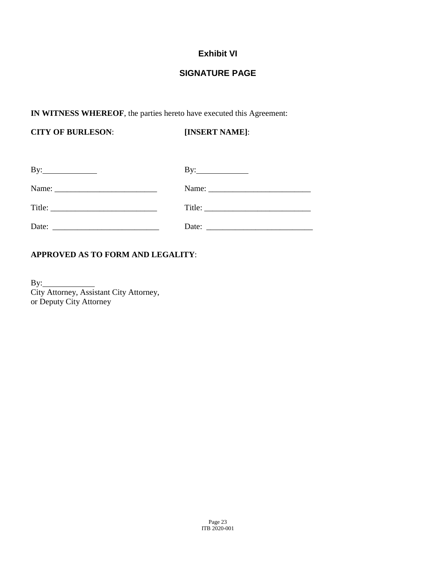# **Exhibit VI**

# **SIGNATURE PAGE**

## **IN WITNESS WHEREOF**, the parties hereto have executed this Agreement:

**CITY OF BURLESON**: **[INSERT NAME]**:

| $\mathbf{By:}\_\_\_\_\_\_\_\_$                                                                                                                                                                                                                                                                                                                                                                               | By: $\qquad \qquad$                                      |
|--------------------------------------------------------------------------------------------------------------------------------------------------------------------------------------------------------------------------------------------------------------------------------------------------------------------------------------------------------------------------------------------------------------|----------------------------------------------------------|
|                                                                                                                                                                                                                                                                                                                                                                                                              |                                                          |
| Title: $\frac{1}{\sqrt{1-\frac{1}{2}}\sqrt{1-\frac{1}{2}}\sqrt{1-\frac{1}{2}}\sqrt{1-\frac{1}{2}}\sqrt{1-\frac{1}{2}}\sqrt{1-\frac{1}{2}}\sqrt{1-\frac{1}{2}}\sqrt{1-\frac{1}{2}}\sqrt{1-\frac{1}{2}}\sqrt{1-\frac{1}{2}}\sqrt{1-\frac{1}{2}}\sqrt{1-\frac{1}{2}}\sqrt{1-\frac{1}{2}}\sqrt{1-\frac{1}{2}}\sqrt{1-\frac{1}{2}}\sqrt{1-\frac{1}{2}}\sqrt{1-\frac{1}{2}}\sqrt{1-\frac{1}{2}}\sqrt{1-\frac{1}{2$ |                                                          |
| Date:                                                                                                                                                                                                                                                                                                                                                                                                        | Date: $\frac{1}{\sqrt{1-\frac{1}{2}} \cdot \frac{1}{2}}$ |

# **APPROVED AS TO FORM AND LEGALITY**:

 $By:$ City Attorney, Assistant City Attorney, or Deputy City Attorney